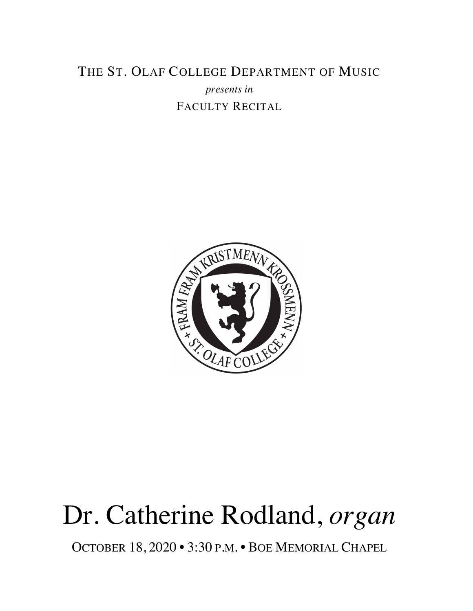### THE ST. OLAF COLLEGE DEPARTMENT OF MUSIC *presents in* FACULTY RECITAL



# Dr. Catherine Rodland, *organ*

OCTOBER 18, 2020 • 3:30 P.M. • BOE MEMORIAL CHAPEL